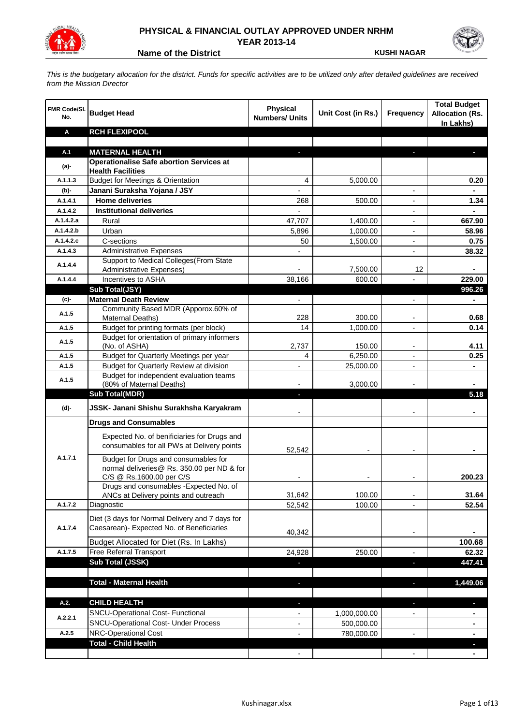

## **PHYSICAL & FINANCIAL OUTLAY APPROVED UNDER NRHM YEAR 2013-14**

**Name of the District <b>KUSHI NAGAR** 

*This is the budgetary allocation for the district. Funds for specific activities are to be utilized only after detailed guidelines are received from the Mission Director*

| FMR Code/SI.<br>No. | <b>Budget Head</b>                                                       | <b>Physical</b><br><b>Numbers/ Units</b> | Unit Cost (in Rs.)   | <b>Frequency</b>         | <b>Total Budget</b><br><b>Allocation (Rs.</b><br>In Lakhs) |
|---------------------|--------------------------------------------------------------------------|------------------------------------------|----------------------|--------------------------|------------------------------------------------------------|
| Α                   | <b>RCH FLEXIPOOL</b>                                                     |                                          |                      |                          |                                                            |
|                     |                                                                          |                                          |                      |                          |                                                            |
| A.1                 | <b>MATERNAL HEALTH</b>                                                   |                                          |                      |                          |                                                            |
| $(a)$ -             | <b>Operationalise Safe abortion Services at</b>                          |                                          |                      |                          |                                                            |
| A.1.1.3             | <b>Health Facilities</b><br><b>Budget for Meetings &amp; Orientation</b> |                                          |                      |                          |                                                            |
|                     | Janani Suraksha Yojana / JSY                                             | 4                                        | 5,000.00             |                          | 0.20                                                       |
| (b)-<br>A.1.4.1     | <b>Home deliveries</b>                                                   |                                          | 500.00               |                          | 1.34                                                       |
| A.1.4.2             | <b>Institutional deliveries</b>                                          | 268<br>$\overline{a}$                    |                      |                          |                                                            |
| A.1.4.2.a           | Rural                                                                    |                                          |                      |                          | 667.90                                                     |
| A.1.4.2.b           | Urban                                                                    | 47,707<br>5,896                          | 1,400.00<br>1,000.00 |                          | 58.96                                                      |
| A.1.4.2.c           | C-sections                                                               | 50                                       |                      |                          | 0.75                                                       |
| A.1.4.3             | <b>Administrative Expenses</b>                                           |                                          | 1,500.00             | $\overline{a}$           | 38.32                                                      |
|                     | Support to Medical Colleges (From State                                  |                                          |                      |                          |                                                            |
| A.1.4.4             | Administrative Expenses)                                                 |                                          | 7,500.00             | 12                       |                                                            |
| A.1.4.4             | Incentives to ASHA                                                       | 38,166                                   | 600.00               |                          | 229.00                                                     |
|                     | Sub Total(JSY)                                                           |                                          |                      |                          | 996.26                                                     |
| (c)-                | <b>Maternal Death Review</b>                                             | $\overline{\phantom{a}}$                 |                      | $\overline{\phantom{a}}$ | $\blacksquare$                                             |
|                     | Community Based MDR (Apporox.60% of                                      |                                          |                      |                          |                                                            |
| A.1.5               | Maternal Deaths)                                                         | 228                                      | 300.00               | $\blacksquare$           | 0.68                                                       |
| A.1.5               | Budget for printing formats (per block)                                  | 14                                       | 1,000.00             |                          | 0.14                                                       |
| A.1.5               | Budget for orientation of primary informers                              |                                          |                      |                          |                                                            |
|                     | (No. of ASHA)                                                            | 2,737                                    | 150.00               | $\overline{\phantom{a}}$ | 4.11                                                       |
| A.1.5               | Budget for Quarterly Meetings per year                                   | 4                                        | 6,250.00             |                          | 0.25                                                       |
| A.1.5               | Budget for Quarterly Review at division                                  | $\overline{\phantom{a}}$                 | 25,000.00            |                          |                                                            |
| A.1.5               | Budget for independent evaluation teams<br>(80% of Maternal Deaths)      |                                          | 3,000.00             |                          |                                                            |
|                     | <b>Sub Total(MDR)</b>                                                    | L.                                       |                      |                          | 5.18                                                       |
|                     |                                                                          |                                          |                      |                          |                                                            |
| (d)-                | JSSK- Janani Shishu Surakhsha Karyakram                                  |                                          |                      |                          |                                                            |
|                     | <b>Drugs and Consumables</b>                                             |                                          |                      |                          |                                                            |
|                     | Expected No. of benificiaries for Drugs and                              |                                          |                      |                          |                                                            |
|                     | consumables for all PWs at Delivery points                               | 52,542                                   |                      |                          |                                                            |
| A.1.7.1             | Budget for Drugs and consumables for                                     |                                          |                      |                          |                                                            |
|                     | normal deliveries@ Rs. 350.00 per ND & for                               |                                          |                      |                          |                                                            |
|                     | C/S @ Rs.1600.00 per C/S                                                 |                                          |                      |                          | 200.23                                                     |
|                     | Drugs and consumables - Expected No. of                                  |                                          |                      |                          |                                                            |
|                     | ANCs at Delivery points and outreach                                     | 31.642                                   | 100.00               |                          | 31.64                                                      |
| A.1.7.2             | Diagnostic                                                               | 52,542                                   | 100.00               |                          | 52.54                                                      |
|                     | Diet (3 days for Normal Delivery and 7 days for                          |                                          |                      |                          |                                                            |
| A.1.7.4             | Caesarean)- Expected No. of Beneficiaries                                | 40,342                                   |                      | $\overline{\phantom{a}}$ |                                                            |
|                     | Budget Allocated for Diet (Rs. In Lakhs)                                 |                                          |                      |                          | 100.68                                                     |
| A.1.7.5             | Free Referral Transport                                                  | 24,928                                   | 250.00               | $\overline{a}$           | 62.32                                                      |
|                     | Sub Total (JSSK)                                                         |                                          |                      | ×,                       | 447.41                                                     |
|                     |                                                                          |                                          |                      |                          |                                                            |
|                     | <b>Total - Maternal Health</b>                                           | J,                                       |                      | ٠                        | 1,449.06                                                   |
|                     |                                                                          |                                          |                      |                          |                                                            |
| A.2.                | <b>CHILD HEALTH</b>                                                      |                                          |                      | r.                       | L.                                                         |
|                     | SNCU-Operational Cost- Functional                                        |                                          | 1,000,000.00         |                          |                                                            |
| A.2.2.1             | <b>SNCU-Operational Cost- Under Process</b>                              |                                          | 500,000.00           |                          |                                                            |
| A.2.5               | NRC-Operational Cost                                                     |                                          | 780,000.00           |                          |                                                            |
|                     | <b>Total - Child Health</b>                                              |                                          |                      |                          |                                                            |
|                     |                                                                          |                                          |                      |                          |                                                            |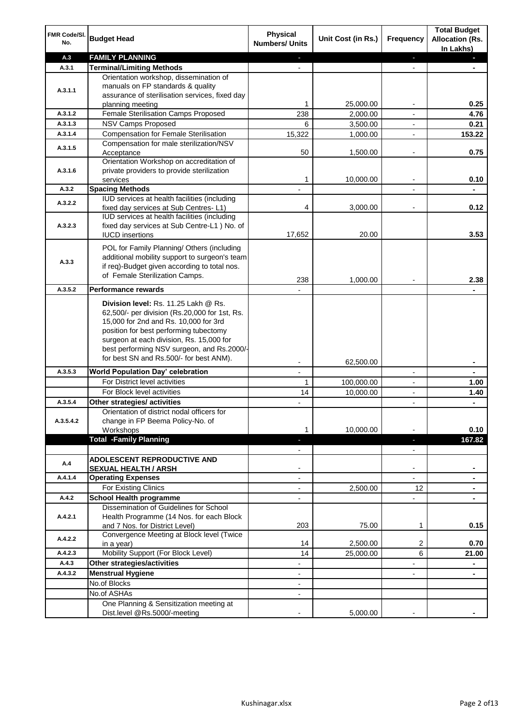| FMR Code/SI.<br>No.  | <b>Budget Head</b>                                                                                                                                                                                                                                                                                            | <b>Physical</b><br><b>Numbers/ Units</b>             | Unit Cost (in Rs.) | <b>Frequency</b>              | <b>Total Budget</b><br><b>Allocation (Rs.</b><br>In Lakhs) |
|----------------------|---------------------------------------------------------------------------------------------------------------------------------------------------------------------------------------------------------------------------------------------------------------------------------------------------------------|------------------------------------------------------|--------------------|-------------------------------|------------------------------------------------------------|
| A.3                  | <b>FAMILY PLANNING</b>                                                                                                                                                                                                                                                                                        | $\sim$                                               |                    | $\blacksquare$                | $\sim$                                                     |
| A.3.1                | <b>Terminal/Limiting Methods</b>                                                                                                                                                                                                                                                                              |                                                      |                    |                               |                                                            |
| A.3.1.1              | Orientation workshop, dissemination of<br>manuals on FP standards & quality<br>assurance of sterilisation services, fixed day<br>planning meeting                                                                                                                                                             | 1                                                    | 25,000.00          | $\overline{\phantom{a}}$      | 0.25                                                       |
| A.3.1.2              | Female Sterilisation Camps Proposed                                                                                                                                                                                                                                                                           | 238                                                  | 2,000.00           |                               | 4.76                                                       |
| A.3.1.3              | <b>NSV Camps Proposed</b>                                                                                                                                                                                                                                                                                     | 6                                                    | 3,500.00           |                               | 0.21                                                       |
| A.3.1.4              | <b>Compensation for Female Sterilisation</b>                                                                                                                                                                                                                                                                  | 15,322                                               | 1,000.00           | $\overline{\phantom{a}}$      | 153.22                                                     |
| A.3.1.5              | Compensation for male sterilization/NSV<br>Acceptance                                                                                                                                                                                                                                                         | 50                                                   | 1,500.00           |                               | 0.75                                                       |
| A.3.1.6              | Orientation Workshop on accreditation of<br>private providers to provide sterilization                                                                                                                                                                                                                        | 1                                                    |                    | $\blacksquare$                |                                                            |
|                      | services                                                                                                                                                                                                                                                                                                      |                                                      | 10,000.00          |                               | 0.10                                                       |
| A.3.2                | <b>Spacing Methods</b><br>IUD services at health facilities (including                                                                                                                                                                                                                                        |                                                      |                    |                               | ä,                                                         |
| A.3.2.2              | fixed day services at Sub Centres-L1)                                                                                                                                                                                                                                                                         | 4                                                    | 3,000.00           | $\overline{\phantom{a}}$      | 0.12                                                       |
| A.3.2.3              | IUD services at health facilities (including<br>fixed day services at Sub Centre-L1 ) No. of<br><b>IUCD</b> insertions                                                                                                                                                                                        | 17,652                                               | 20.00              |                               | 3.53                                                       |
| A.3.3                | POL for Family Planning/ Others (including<br>additional mobility support to surgeon's team<br>if req)-Budget given according to total nos.<br>of Female Sterilization Camps.                                                                                                                                 | 238                                                  | 1,000.00           |                               | 2.38                                                       |
| A.3.5.2              | <b>Performance rewards</b>                                                                                                                                                                                                                                                                                    |                                                      |                    |                               |                                                            |
|                      | Division level: Rs. 11.25 Lakh @ Rs.<br>62,500/- per division (Rs.20,000 for 1st, Rs.<br>15,000 for 2nd and Rs. 10,000 for 3rd<br>position for best performing tubectomy<br>surgeon at each division, Rs. 15,000 for<br>best performing NSV surgeon, and Rs.2000/-<br>for best SN and Rs.500/- for best ANM). |                                                      |                    |                               |                                                            |
|                      |                                                                                                                                                                                                                                                                                                               |                                                      | 62,500.00          |                               | ۰                                                          |
| A.3.5.3              | World Population Day' celebration                                                                                                                                                                                                                                                                             |                                                      |                    |                               |                                                            |
|                      | For District level activities                                                                                                                                                                                                                                                                                 | 1                                                    | 100,000.00         |                               | 1.00                                                       |
|                      | For Block level activities                                                                                                                                                                                                                                                                                    | 14                                                   | 10,000.00          | $\blacksquare$                | 1.40                                                       |
| A.3.5.4<br>A.3.5.4.2 | Other strategies/ activities<br>Orientation of district nodal officers for<br>change in FP Beema Policy-No. of<br>Workshops                                                                                                                                                                                   | 1                                                    | 10,000.00          |                               | 0.10                                                       |
|                      | <b>Total -Family Planning</b>                                                                                                                                                                                                                                                                                 | $\overline{\phantom{a}}$<br>$\overline{\phantom{a}}$ |                    | ٠<br>$\overline{\phantom{a}}$ | 167.82                                                     |
| A.4                  | ADOLESCENT REPRODUCTIVE AND<br><b>SEXUAL HEALTH / ARSH</b>                                                                                                                                                                                                                                                    |                                                      |                    | $\blacksquare$                |                                                            |
| A.4.1.4              | <b>Operating Expenses</b>                                                                                                                                                                                                                                                                                     |                                                      |                    |                               |                                                            |
|                      | For Existing Clinics                                                                                                                                                                                                                                                                                          | $\blacksquare$                                       | 2,500.00           | 12                            | ۰                                                          |
| A.4.2                | <b>School Health programme</b>                                                                                                                                                                                                                                                                                | $\blacksquare$                                       |                    | $\overline{a}$                |                                                            |
| A.4.2.1              | Dissemination of Guidelines for School<br>Health Programme (14 Nos. for each Block<br>and 7 Nos. for District Level)                                                                                                                                                                                          | 203                                                  | 75.00              | 1                             | 0.15                                                       |
| A.4.2.2              | Convergence Meeting at Block level (Twice<br>in a year)                                                                                                                                                                                                                                                       | 14                                                   | 2,500.00           | 2                             | 0.70                                                       |
| A.4.2.3              | Mobility Support (For Block Level)                                                                                                                                                                                                                                                                            | 14                                                   | 25,000.00          | 6                             | 21.00                                                      |
| A.4.3                | Other strategies/activities                                                                                                                                                                                                                                                                                   | $\overline{\phantom{0}}$                             |                    | -                             | ۰                                                          |
| A.4.3.2              | <b>Menstrual Hygiene</b>                                                                                                                                                                                                                                                                                      | $\overline{\phantom{a}}$                             |                    | ٠                             | ۰                                                          |
|                      | No.of Blocks                                                                                                                                                                                                                                                                                                  | $\overline{\phantom{a}}$                             |                    |                               |                                                            |
|                      | No.of ASHAs                                                                                                                                                                                                                                                                                                   | $\overline{\phantom{a}}$                             |                    |                               |                                                            |
|                      | One Planning & Sensitization meeting at<br>Dist.level @Rs.5000/-meeting                                                                                                                                                                                                                                       |                                                      | 5,000.00           |                               |                                                            |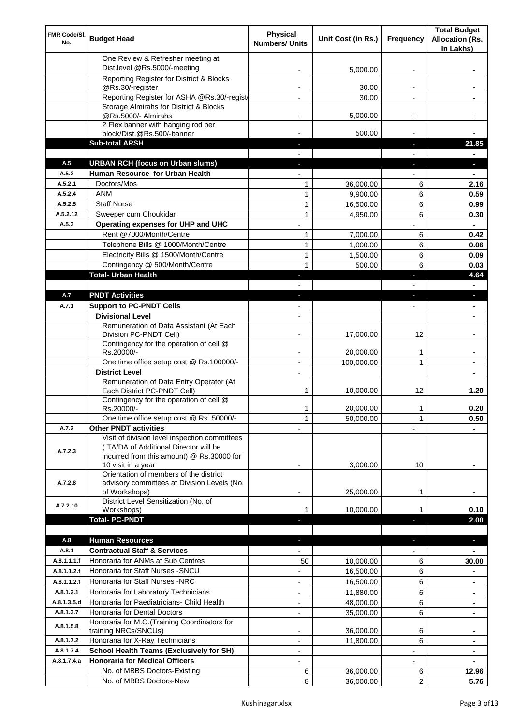| FMR Code/SI.<br>No. | <b>Budget Head</b>                                                                                                                  | <b>Physical</b><br><b>Numbers/ Units</b> | Unit Cost (in Rs.) | Frequency                | <b>Total Budget</b><br><b>Allocation (Rs.</b><br>In Lakhs) |
|---------------------|-------------------------------------------------------------------------------------------------------------------------------------|------------------------------------------|--------------------|--------------------------|------------------------------------------------------------|
|                     | One Review & Refresher meeting at<br>Dist.level @Rs.5000/-meeting                                                                   |                                          | 5,000.00           |                          |                                                            |
|                     | Reporting Register for District & Blocks                                                                                            |                                          |                    |                          |                                                            |
|                     | @Rs.30/-register                                                                                                                    |                                          | 30.00              |                          |                                                            |
|                     | Reporting Register for ASHA @Rs.30/-regist                                                                                          |                                          | 30.00              |                          |                                                            |
|                     | Storage Almirahs for District & Blocks                                                                                              |                                          |                    |                          |                                                            |
|                     | @Rs.5000/- Almirahs<br>2 Flex banner with hanging rod per                                                                           | $\blacksquare$                           | 5,000.00           | $\overline{\phantom{a}}$ |                                                            |
|                     | block/Dist.@Rs.500/-banner                                                                                                          |                                          | 500.00             |                          |                                                            |
|                     | <b>Sub-total ARSH</b>                                                                                                               |                                          |                    | P.                       | 21.85                                                      |
| A.5                 | <b>URBAN RCH (focus on Urban slums)</b>                                                                                             |                                          |                    |                          | $\overline{\phantom{a}}$                                   |
| A.5.2               | Human Resource for Urban Health                                                                                                     |                                          |                    |                          |                                                            |
| A.5.2.1             | Doctors/Mos                                                                                                                         | 1                                        | 36,000.00          | 6                        | 2.16                                                       |
| A.5.2.4             | <b>ANM</b>                                                                                                                          | 1                                        | 9,900.00           | 6                        | 0.59                                                       |
| A.5.2.5             | <b>Staff Nurse</b>                                                                                                                  | 1                                        | 16,500.00          | 6                        | 0.99                                                       |
| A.5.2.12            | Sweeper cum Choukidar                                                                                                               | $\mathbf{1}$                             | 4,950.00           | 6                        | 0.30                                                       |
| A.5.3               | Operating expenses for UHP and UHC                                                                                                  |                                          |                    |                          | $\blacksquare$                                             |
|                     | Rent @7000/Month/Centre                                                                                                             | 1                                        | 7,000.00           | 6                        | 0.42                                                       |
|                     | Telephone Bills @ 1000/Month/Centre<br>Electricity Bills @ 1500/Month/Centre                                                        | $\mathbf{1}$<br>$\mathbf{1}$             | 1,000.00           | 6<br>6                   | 0.06<br>0.09                                               |
|                     | Contingency @ 500/Month/Centre                                                                                                      | $\mathbf{1}$                             | 1,500.00<br>500.00 | 6                        | 0.03                                                       |
|                     | <b>Total- Urban Health</b>                                                                                                          | $\overline{\phantom{a}}$                 |                    | F                        | 4.64                                                       |
|                     |                                                                                                                                     |                                          |                    |                          | $\blacksquare$                                             |
| A.7                 | <b>PNDT Activities</b>                                                                                                              | $\blacksquare$                           |                    | ٠                        | ×.                                                         |
| A.7.1               | <b>Support to PC-PNDT Cells</b>                                                                                                     | $\overline{\phantom{a}}$                 |                    | $\overline{\phantom{a}}$ | ٠                                                          |
|                     | <b>Divisional Level</b>                                                                                                             | $\blacksquare$                           |                    |                          | ۰                                                          |
|                     | Remuneration of Data Assistant (At Each                                                                                             |                                          |                    |                          |                                                            |
|                     | Division PC-PNDT Cell)                                                                                                              |                                          | 17,000.00          | 12                       |                                                            |
|                     | Contingency for the operation of cell @<br>Rs.20000/-                                                                               |                                          | 20,000.00          | 1                        |                                                            |
|                     | One time office setup cost @ Rs.100000/-                                                                                            |                                          | 100,000.00         | 1                        |                                                            |
|                     | <b>District Level</b>                                                                                                               | $\blacksquare$                           |                    |                          |                                                            |
|                     | Remuneration of Data Entry Operator (At<br>Each District PC-PNDT Cell)                                                              | 1                                        | 10,000.00          | 12                       | 1.20                                                       |
|                     | Contingency for the operation of cell @<br>Rs.20000/-                                                                               | 1                                        | 20,000.00          | 1                        | 0.20                                                       |
|                     | One time office setup cost @ Rs. 50000/-                                                                                            | $\mathbf{1}$                             | 50,000.00          | 1                        | 0.50                                                       |
| A.7.2               | <b>Other PNDT activities</b>                                                                                                        |                                          |                    |                          |                                                            |
| A.7.2.3             | Visit of division level inspection committees<br>(TA/DA of Additional Director will be<br>incurred from this amount) @ Rs.30000 for |                                          |                    |                          |                                                            |
|                     | 10 visit in a year                                                                                                                  |                                          | 3,000.00           | 10                       |                                                            |
| A.7.2.8             | Orientation of members of the district<br>advisory committees at Division Levels (No.<br>of Workshops)                              | $\overline{\phantom{a}}$                 | 25,000.00          | 1                        |                                                            |
| A.7.2.10            | District Level Sensitization (No. of                                                                                                |                                          | 10,000.00          |                          | 0.10                                                       |
|                     | Workshops)<br><b>Total- PC-PNDT</b>                                                                                                 |                                          |                    |                          | 2.00                                                       |
|                     |                                                                                                                                     |                                          |                    |                          |                                                            |
| A.8                 | <b>Human Resources</b>                                                                                                              |                                          |                    |                          | ÷.                                                         |
| A.8.1               | <b>Contractual Staff &amp; Services</b>                                                                                             |                                          |                    |                          |                                                            |
| A.8.1.1.1.f         | Honoraria for ANMs at Sub Centres                                                                                                   | 50                                       | 10,000.00          | 6                        | 30.00                                                      |
| A.8.1.1.2.f         | Honoraria for Staff Nurses - SNCU                                                                                                   |                                          | 16,500.00          | 6                        |                                                            |
| A.8.1.1.2.f         | Honoraria for Staff Nurses -NRC                                                                                                     | ÷                                        | 16,500.00          | 6                        |                                                            |
| A.8.1.2.1           | Honoraria for Laboratory Technicians                                                                                                |                                          | 11,880.00          | 6                        |                                                            |
| A.8.1.3.5.d         | Honoraria for Paediatricians- Child Health                                                                                          |                                          | 48,000.00          | 6                        |                                                            |
| A.8.1.3.7           | Honoraria for Dental Doctors                                                                                                        | $\blacksquare$                           | 35,000.00          | 6                        |                                                            |
| A.8.1.5.8           | Honoraria for M.O.(Training Coordinators for<br>training NRCs/SNCUs)                                                                |                                          | 36,000.00          | 6                        |                                                            |
| A.8.1.7.2           | Honoraria for X-Ray Technicians                                                                                                     | $\overline{a}$                           | 11,800.00          | 6                        | $\blacksquare$                                             |
| A.8.1.7.4           | <b>School Health Teams (Exclusively for SH)</b>                                                                                     | $\overline{\phantom{0}}$                 |                    |                          | ۰                                                          |
| A.8.1.7.4.a         | <b>Honoraria for Medical Officers</b>                                                                                               | ۰                                        |                    |                          |                                                            |
|                     | No. of MBBS Doctors-Existing                                                                                                        | 6                                        | 36,000.00          | 6                        | 12.96                                                      |
|                     | No. of MBBS Doctors-New                                                                                                             | 8                                        | 36,000.00          | 2                        | 5.76                                                       |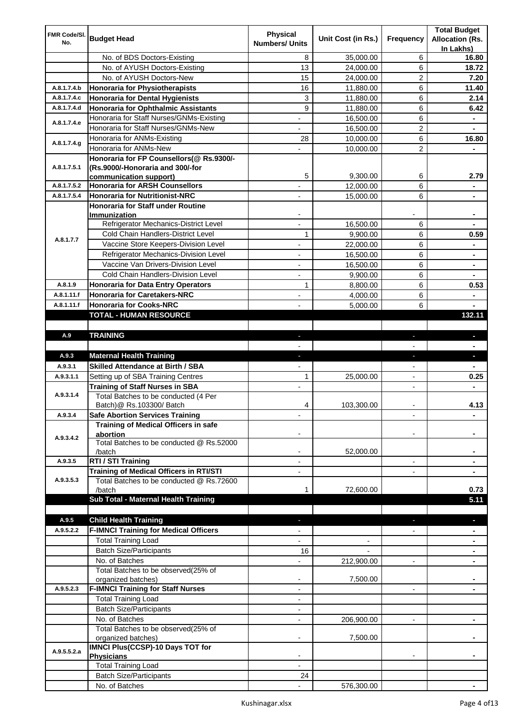| FMR Code/SI. |                                                                    | <b>Physical</b>          |                    |                          | <b>Total Budget</b>    |
|--------------|--------------------------------------------------------------------|--------------------------|--------------------|--------------------------|------------------------|
| No.          | <b>Budget Head</b>                                                 | <b>Numbers/ Units</b>    | Unit Cost (in Rs.) | Frequency                | <b>Allocation (Rs.</b> |
|              |                                                                    |                          |                    |                          | In Lakhs)              |
|              | No. of BDS Doctors-Existing                                        | 8                        | 35,000.00          | 6                        | 16.80                  |
|              | No. of AYUSH Doctors-Existing                                      | 13                       | 24,000.00          | 6                        | 18.72                  |
|              | No. of AYUSH Doctors-New                                           | 15                       | 24,000.00          | 2                        | 7.20                   |
| A.8.1.7.4.b  | <b>Honoraria for Physiotherapists</b>                              | 16                       | 11,880.00          | 6                        | 11.40                  |
| A.8.1.7.4.c  | <b>Honoraria for Dental Hygienists</b>                             | 3                        | 11,880.00          | 6                        | 2.14                   |
| A.8.1.7.4.d  | <b>Honoraria for Ophthalmic Assistants</b>                         | 9                        | 11,880.00          | 6                        | 6.42                   |
| A.8.1.7.4.e  | Honoraria for Staff Nurses/GNMs-Existing                           | $\blacksquare$           | 16,500.00          | 6                        |                        |
|              | Honoraria for Staff Nurses/GNMs-New                                |                          | 16,500.00          | $\overline{c}$           |                        |
| A.8.1.7.4.g  | Honoraria for ANMs-Existing                                        | 28                       | 10,000.00          | 6                        | 16.80                  |
|              | Honoraria for ANMs-New<br>Honoraria for FP Counsellors(@ Rs.9300/- |                          | 10,000.00          | 2                        |                        |
| A.8.1.7.5.1  | (Rs.9000/-Honoraria and 300/-for                                   |                          |                    |                          |                        |
|              | communication support)                                             | 5                        | 9,300.00           | 6                        | 2.79                   |
| A.8.1.7.5.2  | <b>Honoraria for ARSH Counsellors</b>                              |                          | 12,000.00          | 6                        |                        |
| A.8.1.7.5.4  | <b>Honoraria for Nutritionist-NRC</b>                              |                          | 15,000.00          | 6                        |                        |
|              | <b>Honoraria for Staff under Routine</b>                           |                          |                    |                          |                        |
|              | Immunization                                                       |                          |                    |                          |                        |
|              | Refrigerator Mechanics-District Level                              |                          | 16,500.00          | 6                        |                        |
|              | Cold Chain Handlers-District Level                                 | 1                        | 9,900.00           | 6                        | 0.59                   |
| A.8.1.7.7    | Vaccine Store Keepers-Division Level                               |                          | 22,000.00          | 6                        |                        |
|              | Refrigerator Mechanics-Division Level                              | $\blacksquare$           | 16,500.00          | 6                        | ۰                      |
|              | Vaccine Van Drivers-Division Level                                 | ÷,                       | 16,500.00          | 6                        | $\blacksquare$         |
|              | Cold Chain Handlers-Division Level                                 | $\overline{\phantom{a}}$ | 9,900.00           | 6                        | ۰                      |
| A.8.1.9      | <b>Honoraria for Data Entry Operators</b>                          | 1                        | 8,800.00           | 6                        | 0.53                   |
| A.8.1.11.f   | <b>Honoraria for Caretakers-NRC</b>                                | $\blacksquare$           | 4,000.00           | 6                        | ۰                      |
| A.8.1.11.f   | <b>Honoraria for Cooks-NRC</b>                                     |                          | 5,000.00           | 6                        |                        |
|              | TOTAL - HUMAN RESOURCE                                             |                          |                    |                          | 132.11                 |
|              |                                                                    |                          |                    |                          |                        |
| A.9          | <b>TRAINING</b>                                                    | ٠                        |                    | ٠                        | $\blacksquare$         |
|              |                                                                    |                          |                    |                          |                        |
| A.9.3        | <b>Maternal Health Training</b>                                    | ٠                        |                    | ٠                        | ٠                      |
| A.9.3.1      | <b>Skilled Attendance at Birth / SBA</b>                           |                          |                    |                          |                        |
| A.9.3.1.1    | Setting up of SBA Training Centres                                 | 1                        | 25,000.00          | $\overline{\phantom{a}}$ | 0.25                   |
|              | <b>Training of Staff Nurses in SBA</b>                             | $\overline{\phantom{a}}$ |                    | $\overline{\phantom{0}}$ |                        |
| A.9.3.1.4    | Total Batches to be conducted (4 Per                               |                          |                    |                          |                        |
|              | Batch) @ Rs.103300/ Batch                                          | 4                        | 103,300.00         |                          | 4.13                   |
| A.9.3.4      | <b>Safe Abortion Services Training</b>                             |                          |                    |                          |                        |
|              | Training of Medical Officers in safe                               |                          |                    |                          |                        |
| A.9.3.4.2    | abortion<br>Total Batches to be conducted @ Rs.52000               |                          |                    |                          |                        |
|              | /batch                                                             |                          | 52,000.00          |                          |                        |
| A.9.3.5      | RTI / STI Training                                                 |                          |                    | $\overline{a}$           |                        |
|              | Training of Medical Officers in RTI/STI                            |                          |                    |                          |                        |
| A.9.3.5.3    | Total Batches to be conducted @ Rs.72600                           |                          |                    |                          |                        |
|              | /batch                                                             | 1                        | 72,600.00          |                          | 0.73                   |
|              | Sub Total - Maternal Health Training                               |                          |                    |                          | 5.11                   |
|              |                                                                    |                          |                    |                          |                        |
| A.9.5        | <b>Child Health Training</b>                                       |                          |                    |                          |                        |
| A.9.5.2.2    | <b>F-IMNCI Training for Medical Officers</b>                       |                          |                    |                          |                        |
|              | <b>Total Training Load</b>                                         |                          |                    |                          |                        |
|              | <b>Batch Size/Participants</b>                                     | 16                       |                    |                          |                        |
|              | No. of Batches                                                     |                          | 212,900.00         | $\overline{a}$           |                        |
|              | Total Batches to be observed(25% of                                |                          |                    |                          |                        |
|              | organized batches)                                                 | $\overline{\phantom{a}}$ | 7,500.00           |                          |                        |
| A.9.5.2.3    | <b>F-IMNCI Training for Staff Nurses</b>                           | $\overline{\phantom{a}}$ |                    | $\overline{\phantom{a}}$ | ۰                      |
|              | <b>Total Training Load</b>                                         | $\overline{\phantom{a}}$ |                    |                          |                        |
|              | <b>Batch Size/Participants</b>                                     |                          |                    |                          |                        |
|              | No. of Batches                                                     | $\overline{\phantom{a}}$ | 206,900.00         | $\overline{\phantom{a}}$ | ۰                      |
|              | Total Batches to be observed(25% of                                |                          |                    |                          |                        |
|              |                                                                    |                          |                    |                          |                        |
|              | organized batches)                                                 |                          | 7,500.00           |                          |                        |
| A.9.5.5.2.a  | IMNCI Plus(CCSP)-10 Days TOT for                                   |                          |                    |                          |                        |
|              | <b>Physicians</b><br><b>Total Training Load</b>                    |                          |                    |                          |                        |
|              | <b>Batch Size/Participants</b>                                     | 24                       |                    |                          |                        |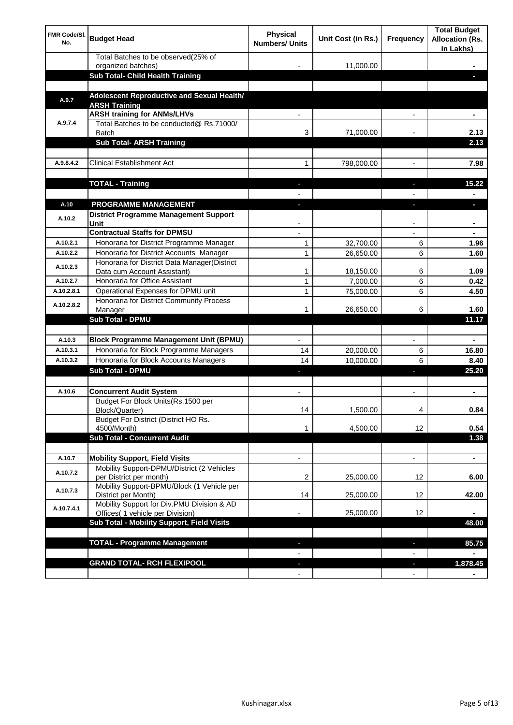| <b>FMR Code/SI.</b><br>No. | <b>Budget Head</b>                                                             | Physical<br><b>Numbers/ Units</b> | Unit Cost (in Rs.) | Frequency                     | <b>Total Budget</b><br><b>Allocation (Rs.</b><br>In Lakhs) |
|----------------------------|--------------------------------------------------------------------------------|-----------------------------------|--------------------|-------------------------------|------------------------------------------------------------|
|                            | Total Batches to be observed(25% of<br>organized batches)                      |                                   | 11,000.00          |                               |                                                            |
|                            | Sub Total- Child Health Training                                               |                                   |                    |                               |                                                            |
|                            |                                                                                |                                   |                    |                               |                                                            |
| A.9.7                      | Adolescent Reproductive and Sexual Health/<br><b>ARSH Training</b>             |                                   |                    |                               |                                                            |
|                            | <b>ARSH training for ANMs/LHVs</b>                                             |                                   |                    |                               |                                                            |
| A.9.7.4                    | Total Batches to be conducted@ Rs.71000/<br>Batch                              | 3                                 | 71,000.00          |                               | 2.13                                                       |
|                            | <b>Sub Total- ARSH Training</b>                                                |                                   |                    |                               | 2.13                                                       |
|                            |                                                                                |                                   |                    |                               |                                                            |
| A.9.8.4.2                  | <b>Clinical Establishment Act</b>                                              | 1                                 | 798,000.00         |                               | 7.98                                                       |
|                            | <b>TOTAL - Training</b>                                                        |                                   |                    |                               | 15.22                                                      |
|                            |                                                                                |                                   |                    |                               |                                                            |
| A.10                       | <b>PROGRAMME MANAGEMENT</b>                                                    |                                   |                    |                               |                                                            |
| A.10.2                     | <b>District Programme Management Support</b><br>Unit                           |                                   |                    |                               |                                                            |
|                            | <b>Contractual Staffs for DPMSU</b>                                            |                                   |                    |                               | ٠                                                          |
| A.10.2.1                   | Honoraria for District Programme Manager                                       | 1                                 | 32,700.00          | 6                             | 1.96                                                       |
| A.10.2.2                   | Honoraria for District Accounts Manager                                        | 1                                 | 26,650.00          | 6                             | 1.60                                                       |
| A.10.2.3                   | Honoraria for District Data Manager(District<br>Data cum Account Assistant)    | 1                                 | 18,150.00          | 6                             | 1.09                                                       |
| A.10.2.7                   | Honoraria for Office Assistant                                                 | 1                                 | 7,000.00           | 6                             | 0.42                                                       |
| A.10.2.8.1                 | Operational Expenses for DPMU unit                                             | 1                                 | 75,000.00          | 6                             | 4.50                                                       |
| A.10.2.8.2                 | Honoraria for District Community Process<br>Manager                            | 1                                 | 26,650.00          | 6                             | 1.60                                                       |
|                            | Sub Total - DPMU                                                               |                                   |                    |                               | 11.17                                                      |
| A.10.3                     | <b>Block Programme Management Unit (BPMU)</b>                                  |                                   |                    |                               |                                                            |
| A.10.3.1                   | Honoraria for Block Programme Managers                                         | 14                                | 20,000.00          | $\overline{\phantom{a}}$<br>6 | ۰<br>16.80                                                 |
| A.10.3.2                   | Honoraria for Block Accounts Managers                                          | 14                                | 10,000.00          | 6                             | 8.40                                                       |
|                            | <b>Sub Total - DPMU</b>                                                        | J                                 |                    | r                             | 25.20                                                      |
|                            |                                                                                |                                   |                    |                               |                                                            |
| A.10.6                     | <b>Concurrent Audit System</b>                                                 |                                   |                    |                               | ٠                                                          |
|                            | Budget For Block Units(Rs.1500 per<br>Block/Quarter)                           | 14                                | 1,500.00           |                               | 0.84                                                       |
|                            | Budget For District (District HO Rs.<br>4500/Month)                            | 1                                 | 4,500.00           | 12                            | 0.54                                                       |
|                            | <b>Sub Total - Concurrent Audit</b>                                            |                                   |                    |                               | 1.38                                                       |
|                            |                                                                                |                                   |                    |                               |                                                            |
| A.10.7                     | <b>Mobility Support, Field Visits</b>                                          |                                   |                    | $\overline{\phantom{a}}$      | $\blacksquare$                                             |
| A.10.7.2                   | Mobility Support-DPMU/District (2 Vehicles<br>per District per month)          | 2                                 | 25,000.00          | 12                            | 6.00                                                       |
| A.10.7.3                   | Mobility Support-BPMU/Block (1 Vehicle per<br>District per Month)              | 14                                | 25,000.00          | 12                            | 42.00                                                      |
| A.10.7.4.1                 | Mobility Support for Div.PMU Division & AD<br>Offices( 1 vehicle per Division) |                                   | 25,000.00          | 12                            |                                                            |
|                            | Sub Total - Mobility Support, Field Visits                                     |                                   |                    |                               | 48.00                                                      |
|                            |                                                                                |                                   |                    |                               |                                                            |
|                            | <b>TOTAL - Programme Management</b>                                            |                                   |                    | ı                             | 85.75                                                      |
|                            |                                                                                |                                   |                    |                               |                                                            |
|                            | <b>GRAND TOTAL- RCH FLEXIPOOL</b>                                              | E.                                |                    | J,                            | 1,878.45                                                   |
|                            |                                                                                | $\blacksquare$                    |                    | $\overline{\phantom{a}}$      |                                                            |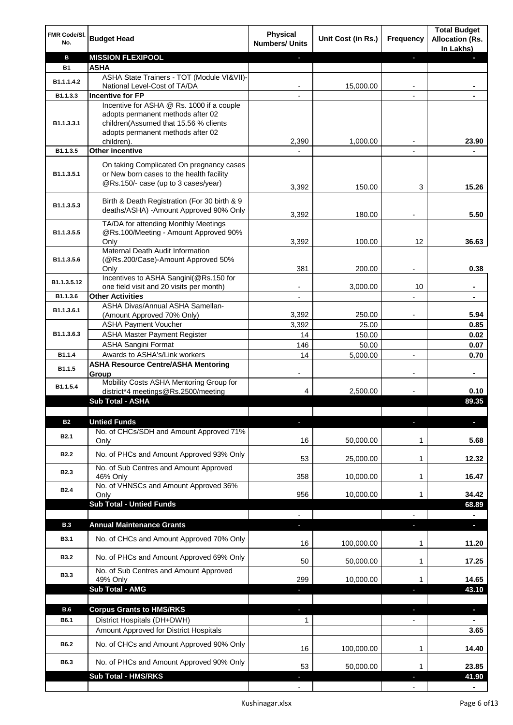| FMR Code/SI.<br>No.      | <b>Budget Head</b>                                                                                                          | <b>Physical</b><br><b>Numbers/ Units</b> | Unit Cost (in Rs.) | Frequency                | <b>Total Budget</b><br><b>Allocation (Rs.</b><br>In Lakhs) |
|--------------------------|-----------------------------------------------------------------------------------------------------------------------------|------------------------------------------|--------------------|--------------------------|------------------------------------------------------------|
| в                        | <b>MISSION FLEXIPOOL</b>                                                                                                    |                                          |                    | ÷.                       |                                                            |
| <b>B1</b>                | <b>ASHA</b>                                                                                                                 |                                          |                    |                          |                                                            |
| B1.1.1.4.2               | ASHA State Trainers - TOT (Module VI&VII)-                                                                                  |                                          |                    |                          |                                                            |
| B1.1.3.3                 | National Level-Cost of TA/DA<br><b>Incentive for FP</b>                                                                     |                                          | 15,000.00          |                          |                                                            |
|                          | Incentive for ASHA @ Rs. 1000 if a couple                                                                                   |                                          |                    |                          |                                                            |
| B1.1.3.3.1               | adopts permanent methods after 02<br>children(Assumed that 15.56 % clients<br>adopts permanent methods after 02             |                                          |                    |                          |                                                            |
| B1.1.3.5                 | children).<br><b>Other incentive</b>                                                                                        | 2,390                                    | 1,000.00           |                          | 23.90                                                      |
|                          |                                                                                                                             |                                          |                    |                          |                                                            |
| B1.1.3.5.1               | On taking Complicated On pregnancy cases<br>or New born cases to the health facility<br>@Rs.150/- case (up to 3 cases/year) | 3,392                                    | 150.00             | 3                        | 15.26                                                      |
| B1.1.3.5.3               | Birth & Death Registration (For 30 birth & 9<br>deaths/ASHA) -Amount Approved 90% Only                                      | 3,392                                    | 180.00             |                          | 5.50                                                       |
| B1.1.3.5.5               | TA/DA for attending Monthly Meetings<br>@Rs.100/Meeting - Amount Approved 90%<br>Only                                       | 3,392                                    | 100.00             | 12                       | 36.63                                                      |
|                          | Maternal Death Audit Information                                                                                            |                                          |                    |                          |                                                            |
| B1.1.3.5.6               | (@Rs.200/Case)-Amount Approved 50%                                                                                          |                                          |                    |                          |                                                            |
|                          | Only                                                                                                                        | 381                                      | 200.00             |                          | 0.38                                                       |
| B1.1.3.5.12              | Incentives to ASHA Sangini(@Rs.150 for<br>one field visit and 20 visits per month)                                          |                                          | 3,000.00           | 10                       |                                                            |
| B1.1.3.6                 | <b>Other Activities</b>                                                                                                     |                                          |                    |                          |                                                            |
| B1.1.3.6.1               | ASHA Divas/Annual ASHA Samellan-                                                                                            |                                          |                    |                          |                                                            |
|                          | (Amount Approved 70% Only)                                                                                                  | 3,392                                    | 250.00             |                          | 5.94                                                       |
|                          | <b>ASHA Payment Voucher</b>                                                                                                 | 3,392                                    | 25.00              |                          | 0.85                                                       |
| B1.1.3.6.3               | <b>ASHA Master Payment Register</b>                                                                                         | 14                                       | 150.00             |                          | 0.02                                                       |
| B1.1.4                   | <b>ASHA Sangini Format</b><br>Awards to ASHA's/Link workers                                                                 | 146<br>14                                | 50.00<br>5,000.00  | $\blacksquare$           | 0.07<br>0.70                                               |
|                          | <b>ASHA Resource Centre/ASHA Mentoring</b>                                                                                  |                                          |                    |                          |                                                            |
| B1.1.5<br>B1.1.5.4       | Group<br>Mobility Costs ASHA Mentoring Group for                                                                            | $\overline{\phantom{a}}$                 |                    | $\overline{\phantom{a}}$ | $\blacksquare$                                             |
|                          | district*4 meetings@Rs.2500/meeting                                                                                         | 4                                        | 2,500.00           |                          | 0.10                                                       |
|                          | <b>Sub Total - ASHA</b>                                                                                                     |                                          |                    |                          | 89.35                                                      |
|                          |                                                                                                                             |                                          |                    |                          |                                                            |
| <b>B2</b><br><b>B2.1</b> | <b>Untied Funds</b><br>No. of CHCs/SDH and Amount Approved 71%<br>Only                                                      | 16                                       | 50,000.00          | 1                        | 5.68                                                       |
| <b>B2.2</b>              | No. of PHCs and Amount Approved 93% Only                                                                                    |                                          |                    |                          | 12.32                                                      |
|                          | No. of Sub Centres and Amount Approved                                                                                      | 53                                       | 25,000.00          | 1                        |                                                            |
| B <sub>2.3</sub>         | 46% Only                                                                                                                    | 358                                      | 10,000.00          | 1                        | 16.47                                                      |
| <b>B2.4</b>              | No. of VHNSCs and Amount Approved 36%                                                                                       |                                          |                    |                          |                                                            |
|                          | Only<br><b>Sub Total - Untied Funds</b>                                                                                     | 956                                      | 10,000.00          | 1                        | 34.42<br>68.89                                             |
|                          |                                                                                                                             |                                          |                    |                          |                                                            |
| <b>B.3</b>               | <b>Annual Maintenance Grants</b>                                                                                            | ÷.                                       |                    |                          | o.                                                         |
| <b>B3.1</b>              | No. of CHCs and Amount Approved 70% Only                                                                                    | 16                                       | 100,000.00         | 1                        | 11.20                                                      |
| <b>B3.2</b>              | No. of PHCs and Amount Approved 69% Only                                                                                    | 50                                       | 50,000.00          | 1                        | 17.25                                                      |
| <b>B3.3</b>              | No. of Sub Centres and Amount Approved<br>49% Only                                                                          | 299                                      | 10,000.00          | 1                        | 14.65                                                      |
|                          | Sub Total - AMG                                                                                                             |                                          |                    |                          | 43.10                                                      |
|                          |                                                                                                                             |                                          |                    |                          |                                                            |
| B.6                      | <b>Corpus Grants to HMS/RKS</b>                                                                                             | J,                                       |                    | ÷.                       | $\overline{\phantom{a}}$                                   |
| B6.1                     | District Hospitals (DH+DWH)                                                                                                 | 1                                        |                    |                          |                                                            |
|                          | Amount Approved for District Hospitals                                                                                      |                                          |                    |                          | 3.65                                                       |
| B6.2                     | No. of CHCs and Amount Approved 90% Only                                                                                    | 16                                       | 100,000.00         | 1                        | 14.40                                                      |
| B6.3                     | No. of PHCs and Amount Approved 90% Only<br>Sub Total - HMS/RKS                                                             | 53                                       | 50,000.00          | 1                        | 23.85<br>41.90                                             |
|                          |                                                                                                                             |                                          |                    |                          |                                                            |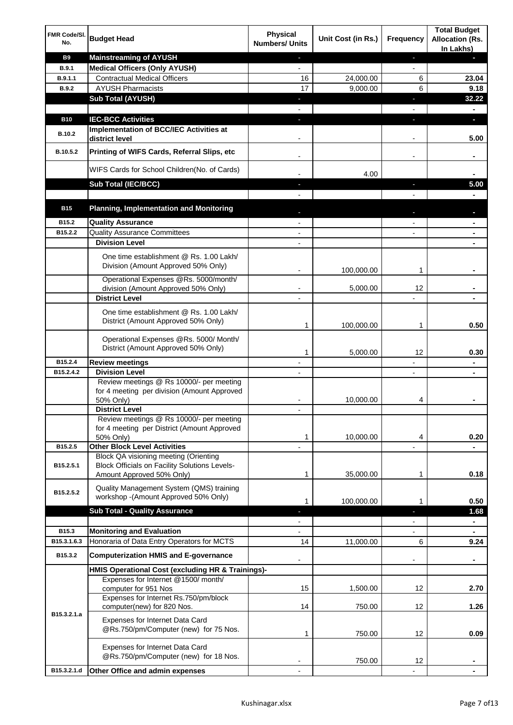| FMR Code/SI.<br>No. | <b>Budget Head</b>                                                                                   | Physical<br><b>Numbers/ Units</b> | Unit Cost (in Rs.) | <b>Frequency</b>         | <b>Total Budget</b><br><b>Allocation (Rs.</b><br>In Lakhs) |
|---------------------|------------------------------------------------------------------------------------------------------|-----------------------------------|--------------------|--------------------------|------------------------------------------------------------|
| <b>B9</b>           | <b>Mainstreaming of AYUSH</b>                                                                        | ٠                                 |                    | ٠                        |                                                            |
| B.9.1               | <b>Medical Officers (Only AYUSH)</b>                                                                 | $\overline{\phantom{a}}$          |                    | $\overline{\phantom{a}}$ |                                                            |
| B.9.1.1             | <b>Contractual Medical Officers</b>                                                                  | 16                                | 24,000.00          | 6                        | 23.04                                                      |
| B.9.2               | <b>AYUSH Pharmacists</b>                                                                             | 17                                | 9,000.00           | 6                        | 9.18                                                       |
|                     | <b>Sub Total (AYUSH)</b>                                                                             | ٠                                 |                    | п                        | 32.22                                                      |
|                     |                                                                                                      |                                   |                    |                          |                                                            |
| <b>B10</b>          | <b>IEC-BCC Activities</b><br>Implementation of BCC/IEC Activities at                                 | $\blacksquare$                    |                    | T                        | D.                                                         |
| <b>B.10.2</b>       | district level                                                                                       |                                   |                    |                          | 5.00                                                       |
| B.10.5.2            | Printing of WIFS Cards, Referral Slips, etc                                                          | $\overline{\phantom{a}}$          |                    | -                        | ٠                                                          |
|                     | WIFS Cards for School Children(No. of Cards)                                                         |                                   | 4.00               |                          |                                                            |
|                     | Sub Total (IEC/BCC)                                                                                  |                                   |                    |                          | 5.00                                                       |
|                     |                                                                                                      |                                   |                    |                          |                                                            |
| <b>B15</b>          | <b>Planning, Implementation and Monitoring</b>                                                       |                                   |                    |                          |                                                            |
| B15.2               | <b>Quality Assurance</b>                                                                             |                                   |                    |                          |                                                            |
| B15.2.2             | <b>Quality Assurance Committees</b>                                                                  |                                   |                    |                          |                                                            |
|                     | <b>Division Level</b>                                                                                |                                   |                    |                          |                                                            |
|                     | One time establishment @ Rs. 1.00 Lakh/<br>Division (Amount Approved 50% Only)                       | $\blacksquare$                    | 100,000.00         | 1                        |                                                            |
|                     | Operational Expenses @Rs. 5000/month/                                                                |                                   |                    |                          |                                                            |
|                     | division (Amount Approved 50% Only)                                                                  |                                   | 5,000.00           | 12                       |                                                            |
|                     | <b>District Level</b>                                                                                |                                   |                    |                          |                                                            |
|                     | One time establishment @ Rs. 1.00 Lakh/<br>District (Amount Approved 50% Only)                       | 1                                 | 100,000.00         | 1                        | 0.50                                                       |
|                     | Operational Expenses @Rs. 5000/ Month/<br>District (Amount Approved 50% Only)                        | 1                                 | 5,000.00           | 12                       | 0.30                                                       |
| B15.2.4             | <b>Review meetings</b>                                                                               | $\overline{\phantom{a}}$          |                    | -                        | $\blacksquare$                                             |
| B15.2.4.2           | <b>Division Level</b>                                                                                | $\overline{\phantom{a}}$          |                    | $\overline{\phantom{a}}$ | $\blacksquare$                                             |
|                     | Review meetings @ Rs 10000/- per meeting<br>for 4 meeting per division (Amount Approved<br>50% Only) |                                   | 10,000.00          | 4                        |                                                            |
|                     | <b>District Level</b>                                                                                |                                   |                    |                          |                                                            |
|                     | Review meetings @ Rs 10000/- per meeting                                                             |                                   |                    |                          |                                                            |
|                     | for 4 meeting per District (Amount Approved                                                          |                                   |                    |                          |                                                            |
| B15.2.5             | 50% Only)<br><b>Other Block Level Activities</b>                                                     | 1                                 | 10,000.00          | 4                        | 0.20                                                       |
|                     | Block QA visioning meeting (Orienting                                                                |                                   |                    |                          |                                                            |
| B15.2.5.1           | <b>Block Officials on Facility Solutions Levels-</b><br>Amount Approved 50% Only)                    | 1                                 | 35,000.00          | 1                        | 0.18                                                       |
|                     | Quality Management System (QMS) training                                                             |                                   |                    |                          |                                                            |
| B15.2.5.2           | workshop - (Amount Approved 50% Only)                                                                | 1                                 | 100,000.00         | 1                        | 0.50                                                       |
|                     | <b>Sub Total - Quality Assurance</b>                                                                 | T                                 |                    | T                        | 1.68                                                       |
|                     |                                                                                                      |                                   |                    |                          |                                                            |
| B15.3               | <b>Monitoring and Evaluation</b>                                                                     |                                   |                    |                          | $\blacksquare$                                             |
| B15.3.1.6.3         | Honoraria of Data Entry Operators for MCTS                                                           | 14                                | 11,000.00          | 6                        | 9.24                                                       |
| B15.3.2             | <b>Computerization HMIS and E-governance</b>                                                         |                                   |                    |                          | ۰                                                          |
|                     | HMIS Operational Cost (excluding HR & Trainings)-                                                    |                                   |                    |                          |                                                            |
|                     | Expenses for Internet @1500/month/<br>computer for 951 Nos                                           | 15                                | 1,500.00           | 12                       | 2.70                                                       |
|                     | Expenses for Internet Rs.750/pm/block<br>computer(new) for 820 Nos.                                  | 14                                | 750.00             | 12                       | 1.26                                                       |
| B15.3.2.1.a         | Expenses for Internet Data Card<br>@Rs.750/pm/Computer (new) for 75 Nos.                             | 1                                 | 750.00             | 12                       | 0.09                                                       |
|                     | Expenses for Internet Data Card<br>@Rs.750/pm/Computer (new) for 18 Nos.                             |                                   | 750.00             | 12                       |                                                            |
| B15.3.2.1.d         | Other Office and admin expenses                                                                      |                                   |                    |                          |                                                            |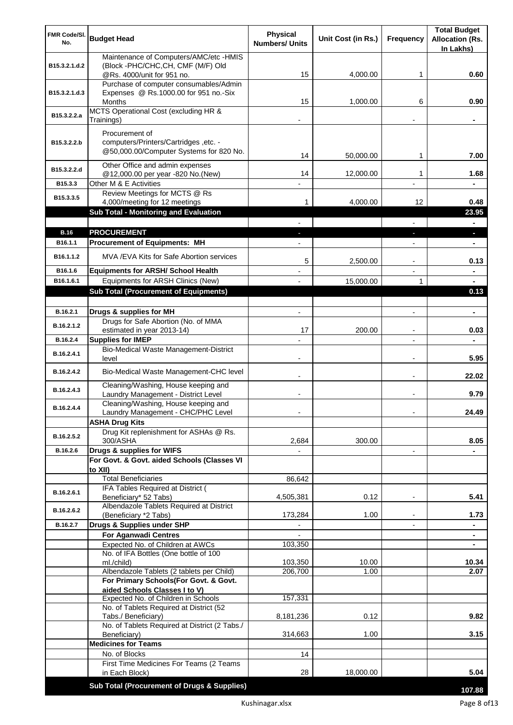| FMR Code/SI.<br>No.   | <b>Budget Head</b>                                                           | <b>Physical</b><br><b>Numbers/ Units</b> | Unit Cost (in Rs.) | <b>Frequency</b>         | <b>Total Budget</b><br><b>Allocation (Rs.</b> |
|-----------------------|------------------------------------------------------------------------------|------------------------------------------|--------------------|--------------------------|-----------------------------------------------|
|                       |                                                                              |                                          |                    |                          | In Lakhs)                                     |
| B15.3.2.1.d.2         | Maintenance of Computers/AMC/etc -HMIS<br>(Block -PHC/CHC, CH, CMF (M/F) Old |                                          |                    |                          |                                               |
|                       | @Rs. 4000/unit for 951 no.                                                   | 15                                       | 4,000.00           | 1                        | 0.60                                          |
|                       | Purchase of computer consumables/Admin                                       |                                          |                    |                          |                                               |
| B15.3.2.1.d.3         | Expenses @ Rs.1000.00 for 951 no.-Six                                        |                                          |                    |                          |                                               |
|                       | Months<br>MCTS Operational Cost (excluding HR &                              | 15                                       | 1,000.00           | 6                        | 0.90                                          |
| B15.3.2.2.a           | Trainings)                                                                   |                                          |                    |                          |                                               |
|                       | Procurement of                                                               |                                          |                    |                          |                                               |
| B15.3.2.2.b           | computers/Printers/Cartridges, etc. -                                        |                                          |                    |                          |                                               |
|                       | @50,000.00/Computer Systems for 820 No.                                      | 14                                       | 50,000.00          | 1                        | 7.00                                          |
| B15.3.2.2.d           | Other Office and admin expenses                                              |                                          |                    |                          |                                               |
|                       | @12,000.00 per year -820 No.(New)                                            | 14                                       | 12,000.00          | 1                        | 1.68                                          |
| B15.3.3               | Other M & E Activities                                                       |                                          |                    |                          |                                               |
| B15.3.3.5             | Review Meetings for MCTS @ Rs<br>4,000/meeting for 12 meetings               | 1                                        | 4,000.00           | 12                       | 0.48                                          |
|                       | Sub Total - Monitoring and Evaluation                                        |                                          |                    |                          | 23.95                                         |
|                       |                                                                              |                                          |                    |                          |                                               |
| <b>B.16</b>           | <b>PROCUREMENT</b>                                                           |                                          |                    |                          | H.                                            |
| B <sub>16.1.1</sub>   | <b>Procurement of Equipments: MH</b>                                         |                                          |                    |                          | ٠                                             |
| B <sub>16.1.1.2</sub> | MVA/EVA Kits for Safe Abortion services                                      | 5                                        | 2,500.00           |                          | 0.13                                          |
| B16.1.6               | <b>Equipments for ARSH/ School Health</b>                                    |                                          |                    |                          | $\blacksquare$                                |
| B16.1.6.1             | Equipments for ARSH Clinics (New)                                            |                                          | 15,000.00          | 1                        | $\blacksquare$                                |
|                       | <b>Sub Total (Procurement of Equipments)</b>                                 |                                          |                    |                          | 0.13                                          |
|                       |                                                                              |                                          |                    |                          |                                               |
| B.16.2.1              | Drugs & supplies for MH<br>Drugs for Safe Abortion (No. of MMA               | $\blacksquare$                           |                    | $\blacksquare$           | $\blacksquare$                                |
| B.16.2.1.2            | estimated in year 2013-14)                                                   | 17                                       | 200.00             |                          | 0.03                                          |
| B.16.2.4              | <b>Supplies for IMEP</b>                                                     |                                          |                    |                          |                                               |
| B.16.2.4.1            | Bio-Medical Waste Management-District<br>level                               | $\overline{\phantom{0}}$                 |                    | $\blacksquare$           | 5.95                                          |
| B.16.2.4.2            | Bio-Medical Waste Management-CHC level                                       |                                          |                    | $\blacksquare$           | 22.02                                         |
| B.16.2.4.3            | Cleaning/Washing, House keeping and<br>Laundry Management - District Level   |                                          |                    | $\blacksquare$           | 9.79                                          |
| B.16.2.4.4            | Cleaning/Washing, House keeping and<br>Laundry Management - CHC/PHC Level    |                                          |                    |                          | 24.49                                         |
|                       | <b>ASHA Drug Kits</b>                                                        |                                          |                    |                          |                                               |
| B.16.2.5.2            | Drug Kit replenishment for ASHAs @ Rs.                                       |                                          |                    |                          |                                               |
| B.16.2.6              | 300/ASHA<br>Drugs & supplies for WIFS                                        | 2,684                                    | 300.00             |                          | 8.05                                          |
|                       | For Govt. & Govt. aided Schools (Classes VI                                  |                                          |                    | $\overline{\phantom{a}}$ |                                               |
|                       | to XII)                                                                      |                                          |                    |                          |                                               |
|                       | <b>Total Beneficiaries</b>                                                   | 86,642                                   |                    |                          |                                               |
| B.16.2.6.1            | IFA Tables Required at District (<br>Beneficiary* 52 Tabs)                   | 4,505,381                                | 0.12               | $\overline{\phantom{a}}$ | 5.41                                          |
|                       | Albendazole Tablets Required at District                                     |                                          |                    |                          |                                               |
| B.16.2.6.2            | (Beneficiary *2 Tabs)                                                        | 173,284                                  | 1.00               |                          | 1.73                                          |
| B.16.2.7              | Drugs & Supplies under SHP                                                   |                                          |                    |                          |                                               |
|                       | <b>For Aganwadi Centres</b><br>Expected No. of Children at AWCs              | 103,350                                  |                    |                          | $\blacksquare$                                |
|                       | No. of IFA Bottles (One bottle of 100                                        |                                          |                    |                          |                                               |
|                       | ml./child)                                                                   | 103,350                                  | 10.00              |                          | 10.34                                         |
|                       | Albendazole Tablets (2 tablets per Child)                                    | 206,700                                  | 1.00               |                          | 2.07                                          |
|                       | For Primary Schools(For Govt. & Govt.<br>aided Schools Classes I to V)       |                                          |                    |                          |                                               |
|                       | Expected No. of Children in Schools                                          | 157,331                                  |                    |                          |                                               |
|                       | No. of Tablets Required at District (52                                      |                                          |                    |                          |                                               |
|                       | Tabs./ Beneficiary)<br>No. of Tablets Required at District (2 Tabs./         | 8,181,236                                | 0.12               |                          | 9.82                                          |
|                       | Beneficiary)                                                                 | 314,663                                  | 1.00               |                          | 3.15                                          |
|                       | <b>Medicines for Teams</b>                                                   |                                          |                    |                          |                                               |
|                       | No. of Blocks                                                                | 14                                       |                    |                          |                                               |
|                       | First Time Medicines For Teams (2 Teams<br>in Each Block)                    | 28                                       | 18,000.00          |                          | 5.04                                          |
|                       |                                                                              |                                          |                    |                          |                                               |
|                       | Sub Total (Procurement of Drugs & Supplies)                                  |                                          |                    |                          | 107.88                                        |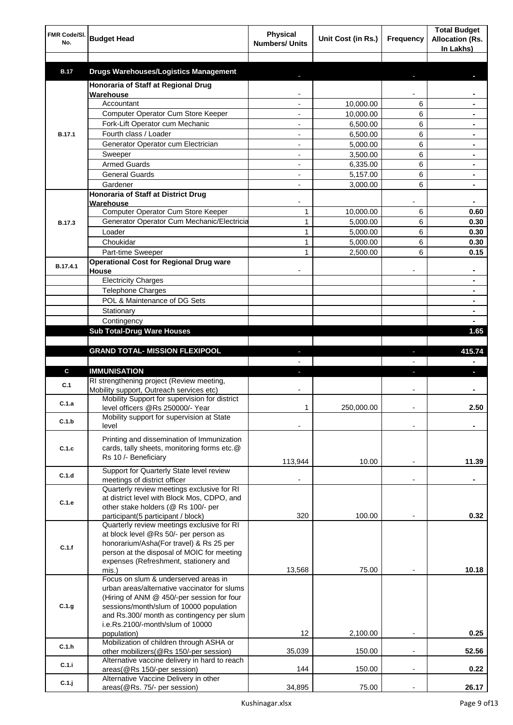| FMR Code/SI.<br>No. | <b>Budget Head</b>                                                                    | <b>Physical</b><br><b>Numbers/ Units</b> | Unit Cost (in Rs.) | Frequency                | <b>Total Budget</b><br><b>Allocation (Rs.</b><br>In Lakhs) |
|---------------------|---------------------------------------------------------------------------------------|------------------------------------------|--------------------|--------------------------|------------------------------------------------------------|
| <b>B.17</b>         | <b>Drugs Warehouses/Logistics Management</b>                                          |                                          |                    |                          |                                                            |
|                     | Honoraria of Staff at Regional Drug                                                   |                                          |                    |                          |                                                            |
|                     | Warehouse                                                                             |                                          |                    |                          |                                                            |
|                     | Accountant                                                                            |                                          | 10,000.00          | 6                        |                                                            |
|                     | Computer Operator Cum Store Keeper                                                    |                                          | 10,000.00          | 6                        |                                                            |
|                     | Fork-Lift Operator cum Mechanic                                                       |                                          | 6,500.00           | 6                        |                                                            |
| <b>B.17.1</b>       | Fourth class / Loader                                                                 |                                          | 6,500.00           | 6                        |                                                            |
|                     | Generator Operator cum Electrician                                                    |                                          | 5,000.00           | 6                        |                                                            |
|                     | Sweeper                                                                               |                                          | 3,500.00           | 6                        |                                                            |
|                     | <b>Armed Guards</b>                                                                   |                                          | 6,335.00           | 6                        |                                                            |
|                     | <b>General Guards</b>                                                                 |                                          | 5,157.00           | 6                        |                                                            |
|                     | Gardener                                                                              |                                          | 3,000.00           | 6                        |                                                            |
|                     | Honoraria of Staff at District Drug<br>Warehouse                                      |                                          |                    |                          |                                                            |
|                     | Computer Operator Cum Store Keeper                                                    | 1                                        | 10,000.00          | 6                        | 0.60                                                       |
| <b>B.17.3</b>       | Generator Operator Cum Mechanic/Electricia                                            | $\mathbf{1}$                             | 5,000.00           | 6                        | 0.30                                                       |
|                     | Loader                                                                                | 1                                        | 5,000.00           | 6                        | 0.30                                                       |
|                     | Choukidar                                                                             | 1                                        | 5,000.00           | 6                        | 0.30                                                       |
|                     | Part-time Sweeper                                                                     | 1                                        | 2,500.00           | 6                        | 0.15                                                       |
|                     | <b>Operational Cost for Regional Drug ware</b>                                        |                                          |                    |                          |                                                            |
| B.17.4.1            | House                                                                                 |                                          |                    |                          | ۰                                                          |
|                     | <b>Electricity Charges</b>                                                            |                                          |                    |                          | ۰                                                          |
|                     | <b>Telephone Charges</b>                                                              |                                          |                    |                          | ۰                                                          |
|                     | POL & Maintenance of DG Sets                                                          |                                          |                    |                          | ۰                                                          |
|                     | Stationary                                                                            |                                          |                    |                          | ٠                                                          |
|                     | Contingency                                                                           |                                          |                    |                          |                                                            |
|                     | <b>Sub Total-Drug Ware Houses</b>                                                     |                                          |                    |                          | 1.65                                                       |
|                     |                                                                                       |                                          |                    |                          |                                                            |
|                     | <b>GRAND TOTAL- MISSION FLEXIPOOL</b>                                                 |                                          |                    | ı                        | 415.74                                                     |
|                     |                                                                                       |                                          |                    |                          |                                                            |
| C                   | <b>IMMUNISATION</b>                                                                   |                                          |                    |                          |                                                            |
| C.1                 | RI strengthening project (Review meeting,<br>Mobility support, Outreach services etc) |                                          |                    |                          |                                                            |
|                     | Mobility Support for supervision for district                                         |                                          |                    |                          |                                                            |
| C.1.a               | level officers @Rs 250000/- Year                                                      | 1                                        | 250,000.00         |                          | 2.50                                                       |
|                     | Mobility support for supervision at State                                             |                                          |                    |                          |                                                            |
| C.1.b               | level                                                                                 |                                          |                    |                          |                                                            |
|                     | Printing and dissemination of Immunization                                            |                                          |                    |                          |                                                            |
| C.1.c               | cards, tally sheets, monitoring forms etc.@                                           |                                          |                    |                          |                                                            |
|                     | Rs 10 /- Beneficiary                                                                  | 113,944                                  | 10.00              |                          | 11.39                                                      |
|                     | Support for Quarterly State level review                                              |                                          |                    |                          |                                                            |
| C.1.d               | meetings of district officer                                                          |                                          |                    | $\blacksquare$           |                                                            |
|                     | Quarterly review meetings exclusive for RI                                            |                                          |                    |                          |                                                            |
| C.1.e               | at district level with Block Mos, CDPO, and                                           |                                          |                    |                          |                                                            |
|                     | other stake holders (@ Rs 100/- per                                                   |                                          |                    |                          |                                                            |
|                     | participant(5 participant / block)                                                    | 320                                      | 100.00             |                          | 0.32                                                       |
|                     | Quarterly review meetings exclusive for RI                                            |                                          |                    |                          |                                                            |
|                     | at block level @Rs 50/- per person as<br>honorarium/Asha(For travel) & Rs 25 per      |                                          |                    |                          |                                                            |
| C.1.f               | person at the disposal of MOIC for meeting                                            |                                          |                    |                          |                                                            |
|                     | expenses (Refreshment, stationery and                                                 |                                          |                    |                          |                                                            |
|                     | mis.)                                                                                 | 13,568                                   | 75.00              |                          | 10.18                                                      |
|                     | Focus on slum & underserved areas in                                                  |                                          |                    |                          |                                                            |
|                     | urban areas/alternative vaccinator for slums                                          |                                          |                    |                          |                                                            |
|                     | (Hiring of ANM @ 450/-per session for four                                            |                                          |                    |                          |                                                            |
| C.1.g               | sessions/month/slum of 10000 population<br>and Rs.300/ month as contingency per slum  |                                          |                    |                          |                                                            |
|                     | i.e.Rs.2100/-month/slum of 10000                                                      |                                          |                    |                          |                                                            |
|                     | population)                                                                           | 12                                       | 2,100.00           |                          | 0.25                                                       |
| C.1.h               | Mobilization of children through ASHA or                                              |                                          |                    |                          |                                                            |
|                     | other mobilizers(@Rs 150/-per session)                                                | 35,039                                   | 150.00             | $\overline{a}$           | 52.56                                                      |
|                     |                                                                                       |                                          |                    |                          |                                                            |
| C.1.i               | Alternative vaccine delivery in hard to reach                                         |                                          |                    |                          |                                                            |
|                     | areas(@Rs 150/-per session)<br>Alternative Vaccine Delivery in other                  | 144                                      | 150.00             | $\overline{\phantom{a}}$ | 0.22                                                       |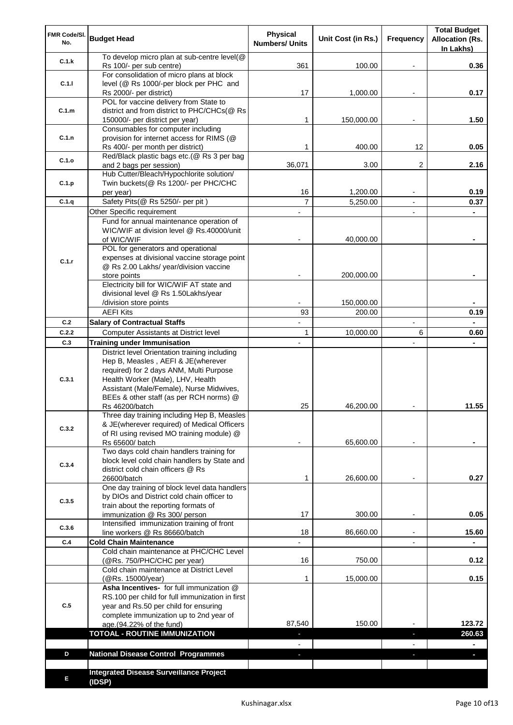| FMR Code/SI.<br>No. | <b>Budget Head</b>                                                                                                 | Physical<br><b>Numbers/ Units</b> | Unit Cost (in Rs.) | Frequency                | <b>Total Budget</b><br><b>Allocation (Rs.</b><br>In Lakhs) |
|---------------------|--------------------------------------------------------------------------------------------------------------------|-----------------------------------|--------------------|--------------------------|------------------------------------------------------------|
| C.1.k               | To develop micro plan at sub-centre level(@<br>Rs 100/- per sub centre)                                            | 361                               | 100.00             |                          | 0.36                                                       |
| C.1.1               | For consolidation of micro plans at block<br>level (@ Rs 1000/-per block per PHC and                               |                                   |                    |                          |                                                            |
|                     | Rs 2000/- per district)<br>POL for vaccine delivery from State to                                                  | 17                                | 1,000.00           |                          | 0.17                                                       |
| C.1.m               | district and from district to PHC/CHCs(@ Rs<br>150000/- per district per year)                                     | 1                                 | 150,000.00         |                          | 1.50                                                       |
|                     | Consumables for computer including                                                                                 |                                   |                    |                          |                                                            |
| C.1.n               | provision for internet access for RIMS (@<br>Rs 400/- per month per district)                                      | 1                                 | 400.00             | 12                       | 0.05                                                       |
| C.1.o               | Red/Black plastic bags etc.(@ Rs 3 per bag                                                                         |                                   |                    |                          |                                                            |
|                     | and 2 bags per session)<br>Hub Cutter/Bleach/Hypochlorite solution/                                                | 36,071                            | 3.00               | 2                        | 2.16                                                       |
| C.1.p               | Twin buckets(@ Rs 1200/- per PHC/CHC                                                                               |                                   |                    |                          |                                                            |
| C.1.q               | per year)<br>Safety Pits(@ Rs 5250/- per pit)                                                                      | 16<br>$\overline{7}$              | 1,200.00           |                          | 0.19                                                       |
|                     | Other Specific requirement                                                                                         |                                   | 5,250.00           | $\blacksquare$           | 0.37                                                       |
|                     | Fund for annual maintenance operation of                                                                           |                                   |                    |                          |                                                            |
|                     | WIC/WIF at division level @ Rs.40000/unit                                                                          |                                   |                    |                          |                                                            |
|                     | of WIC/WIF<br>POL for generators and operational                                                                   |                                   | 40,000.00          |                          |                                                            |
|                     | expenses at divisional vaccine storage point                                                                       |                                   |                    |                          |                                                            |
| C.1.r               | @ Rs 2.00 Lakhs/ year/division vaccine                                                                             |                                   |                    |                          |                                                            |
|                     | store points                                                                                                       |                                   | 200,000.00         |                          |                                                            |
|                     | Electricity bill for WIC/WIF AT state and<br>divisional level @ Rs 1.50Lakhs/year                                  |                                   |                    |                          |                                                            |
|                     | /division store points                                                                                             |                                   | 150,000.00         |                          |                                                            |
|                     | <b>AEFI Kits</b>                                                                                                   | 93                                | 200.00             |                          | 0.19                                                       |
| C.2                 | <b>Salary of Contractual Staffs</b>                                                                                |                                   |                    | $\overline{\phantom{a}}$ |                                                            |
| C.2.2               | Computer Assistants at District level                                                                              | $\mathbf{1}$                      | 10,000.00          | 6                        | 0.60                                                       |
| C.3                 | <b>Training under Immunisation</b><br>District level Orientation training including                                | $\overline{a}$                    |                    | $\overline{a}$           |                                                            |
| C.3.1               | Hep B, Measles, AEFI & JE(wherever<br>required) for 2 days ANM, Multi Purpose<br>Health Worker (Male), LHV, Health |                                   |                    |                          |                                                            |
|                     | Assistant (Male/Female), Nurse Midwives,                                                                           |                                   |                    |                          |                                                            |
|                     | BEEs & other staff (as per RCH norms) @                                                                            | 25                                | 46,200.00          |                          | 11.55                                                      |
|                     | Rs 46200/batch<br>Three day training including Hep B, Measles                                                      |                                   |                    |                          |                                                            |
| C.3.2               | & JE(wherever required) of Medical Officers                                                                        |                                   |                    |                          |                                                            |
|                     | of RI using revised MO training module) @                                                                          |                                   |                    |                          |                                                            |
|                     | Rs 65600/ batch<br>Two days cold chain handlers training for                                                       |                                   | 65,600.00          |                          |                                                            |
| C.3.4               | block level cold chain handlers by State and                                                                       |                                   |                    |                          |                                                            |
|                     | district cold chain officers @ Rs                                                                                  |                                   |                    |                          |                                                            |
|                     | 26600/batch<br>One day training of block level data handlers                                                       | 1                                 | 26,600.00          |                          | 0.27                                                       |
| C.3.5               | by DIOs and District cold chain officer to                                                                         |                                   |                    |                          |                                                            |
|                     | train about the reporting formats of                                                                               |                                   |                    |                          |                                                            |
|                     | immunization @ Rs 300/ person<br>Intensified immunization training of front                                        | 17                                | 300.00             | $\overline{\phantom{0}}$ | 0.05                                                       |
| C.3.6               | line workers @ Rs 86660/batch                                                                                      | 18                                | 86,660.00          | $\blacksquare$           | 15.60                                                      |
| C.4                 | <b>Cold Chain Maintenance</b>                                                                                      |                                   |                    |                          |                                                            |
|                     | Cold chain maintenance at PHC/CHC Level<br>(@Rs. 750/PHC/CHC per year)                                             | 16                                | 750.00             |                          | 0.12                                                       |
|                     | Cold chain maintenance at District Level                                                                           |                                   |                    |                          |                                                            |
|                     | (@Rs. 15000/year)                                                                                                  | 1                                 | 15,000.00          |                          | 0.15                                                       |
|                     | Asha Incentives- for full immunization @<br>RS.100 per child for full immunization in first                        |                                   |                    |                          |                                                            |
| C.5                 | year and Rs.50 per child for ensuring                                                                              |                                   |                    |                          |                                                            |
|                     | complete immunization up to 2nd year of<br>age.(94.22% of the fund)                                                | 87,540                            | 150.00             |                          | 123.72                                                     |
|                     | <b>TOTOAL - ROUTINE IMMUNIZATION</b>                                                                               |                                   |                    |                          | 260.63                                                     |
|                     |                                                                                                                    |                                   |                    |                          |                                                            |
| D                   | <b>National Disease Control Programmes</b>                                                                         |                                   |                    |                          |                                                            |
|                     |                                                                                                                    |                                   |                    |                          |                                                            |
| Е                   | <b>Integrated Disease Surveillance Project</b><br>(IDSP)                                                           |                                   |                    |                          |                                                            |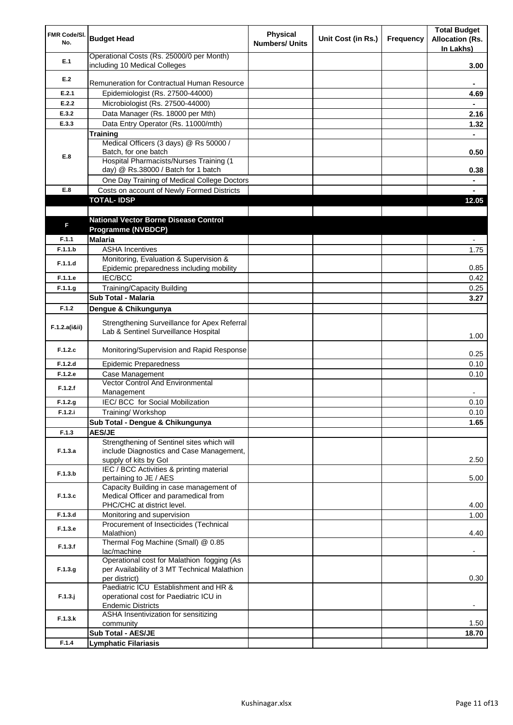| FMR Code/SI.<br>No. | <b>Budget Head</b>                                                                     | <b>Physical</b><br><b>Numbers/ Units</b> | Unit Cost (in Rs.) | Frequency | <b>Total Budget</b><br><b>Allocation (Rs.</b><br>In Lakhs) |
|---------------------|----------------------------------------------------------------------------------------|------------------------------------------|--------------------|-----------|------------------------------------------------------------|
| E.1                 | Operational Costs (Rs. 25000/0 per Month)<br>including 10 Medical Colleges             |                                          |                    |           | 3.00                                                       |
| E.2                 |                                                                                        |                                          |                    |           |                                                            |
|                     | Remuneration for Contractual Human Resource                                            |                                          |                    |           |                                                            |
| E.2.1<br>E.2.2      | Epidemiologist (Rs. 27500-44000)<br>Microbiologist (Rs. 27500-44000)                   |                                          |                    |           | 4.69                                                       |
| E.3.2               | Data Manager (Rs. 18000 per Mth)                                                       |                                          |                    |           | 2.16                                                       |
| E.3.3               | Data Entry Operator (Rs. 11000/mth)                                                    |                                          |                    |           | 1.32                                                       |
|                     | <b>Training</b>                                                                        |                                          |                    |           |                                                            |
|                     | Medical Officers (3 days) @ Rs 50000 /                                                 |                                          |                    |           |                                                            |
| E.8                 | Batch, for one batch                                                                   |                                          |                    |           | 0.50                                                       |
|                     | Hospital Pharmacists/Nurses Training (1                                                |                                          |                    |           |                                                            |
|                     | day) @ Rs.38000 / Batch for 1 batch                                                    |                                          |                    |           | 0.38                                                       |
| E.8                 | One Day Training of Medical College Doctors                                            |                                          |                    |           |                                                            |
|                     | Costs on account of Newly Formed Districts<br><b>TOTAL-IDSP</b>                        |                                          |                    |           | 12.05                                                      |
|                     |                                                                                        |                                          |                    |           |                                                            |
|                     | <b>National Vector Borne Disease Control</b>                                           |                                          |                    |           |                                                            |
| F                   | Programme (NVBDCP)                                                                     |                                          |                    |           |                                                            |
| F.1.1               | <b>Malaria</b>                                                                         |                                          |                    |           |                                                            |
| F.1.1.b             | <b>ASHA Incentives</b>                                                                 |                                          |                    |           | 1.75                                                       |
| F.1.1.d             | Monitoring, Evaluation & Supervision &                                                 |                                          |                    |           |                                                            |
|                     | Epidemic preparedness including mobility                                               |                                          |                    |           | 0.85                                                       |
| F.1.1.e             | <b>IEC/BCC</b>                                                                         |                                          |                    |           | 0.42                                                       |
| F.1.1.g             | <b>Training/Capacity Building</b>                                                      |                                          |                    |           | 0.25                                                       |
|                     | Sub Total - Malaria                                                                    |                                          |                    |           | 3.27                                                       |
| F.1.2               | Dengue & Chikungunya                                                                   |                                          |                    |           |                                                            |
| F.1.2.a(iⅈ)         | Strengthening Surveillance for Apex Referral<br>Lab & Sentinel Surveillance Hospital   |                                          |                    |           | 1.00                                                       |
| F.1.2.c             | Monitoring/Supervision and Rapid Response                                              |                                          |                    |           | 0.25                                                       |
| F.1.2.d             | <b>Epidemic Preparedness</b>                                                           |                                          |                    |           | 0.10                                                       |
| F.1.2.e             | Case Management                                                                        |                                          |                    |           | 0.10                                                       |
| F.1.2.f             | Vector Control And Environmental<br>Management                                         |                                          |                    |           |                                                            |
| F.1.2.g             | IEC/ BCC for Social Mobilization                                                       |                                          |                    |           | 0.10                                                       |
| F.1.2.i             | Training/ Workshop                                                                     |                                          |                    |           | 0.10                                                       |
|                     | Sub Total - Dengue & Chikungunya                                                       |                                          |                    |           | 1.65                                                       |
| F.1.3               | <b>AES/JE</b>                                                                          |                                          |                    |           |                                                            |
| F.1.3.a             | Strengthening of Sentinel sites which will<br>include Diagnostics and Case Management, |                                          |                    |           |                                                            |
|                     | supply of kits by Gol                                                                  |                                          |                    |           | 2.50                                                       |
| F.1.3.b             | IEC / BCC Activities & printing material                                               |                                          |                    |           |                                                            |
|                     | pertaining to JE / AES                                                                 |                                          |                    |           | 5.00                                                       |
|                     | Capacity Building in case management of                                                |                                          |                    |           |                                                            |
| F.1.3.c             | Medical Officer and paramedical from<br>PHC/CHC at district level.                     |                                          |                    |           | 4.00                                                       |
| F.1.3.d             | Monitoring and supervision                                                             |                                          |                    |           | 1.00                                                       |
|                     | Procurement of Insecticides (Technical                                                 |                                          |                    |           |                                                            |
| F.1.3.e             | Malathion)                                                                             |                                          |                    |           | 4.40                                                       |
| F.1.3.f             | Thermal Fog Machine (Small) @ 0.85<br>lac/machine                                      |                                          |                    |           |                                                            |
|                     | Operational cost for Malathion fogging (As                                             |                                          |                    |           |                                                            |
| F.1.3.g             | per Availability of 3 MT Technical Malathion                                           |                                          |                    |           |                                                            |
|                     | per district)                                                                          |                                          |                    |           | 0.30                                                       |
|                     | Paediatric ICU Establishment and HR &                                                  |                                          |                    |           |                                                            |
| $F.1.3.$ j          | operational cost for Paediatric ICU in<br><b>Endemic Districts</b>                     |                                          |                    |           |                                                            |
|                     | ASHA Insentivization for sensitizing                                                   |                                          |                    |           |                                                            |
| F.1.3.k             | community                                                                              |                                          |                    |           | 1.50                                                       |
|                     | Sub Total - AES/JE                                                                     |                                          |                    |           | 18.70                                                      |
| F.1.4               | <b>Lymphatic Filariasis</b>                                                            |                                          |                    |           |                                                            |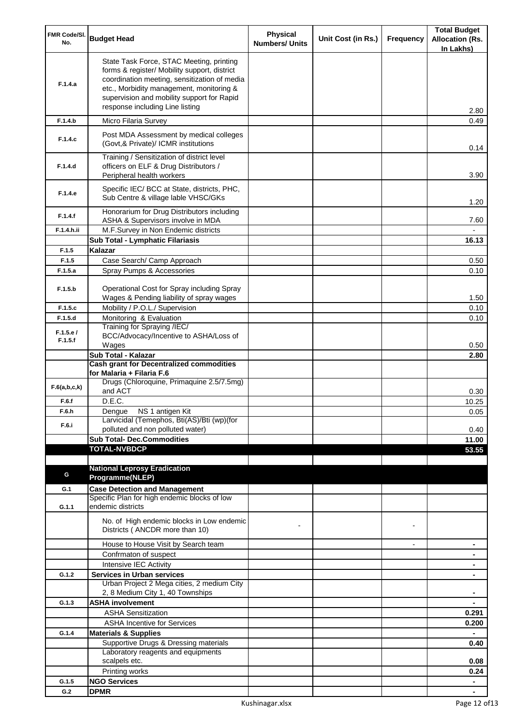| FMR Code/SI.        | <b>Budget Head</b>                                                                                                                                                                                                                                                    | <b>Physical</b>       | Unit Cost (in Rs.) | Frequency      | <b>Total Budget</b><br><b>Allocation (Rs.</b> |
|---------------------|-----------------------------------------------------------------------------------------------------------------------------------------------------------------------------------------------------------------------------------------------------------------------|-----------------------|--------------------|----------------|-----------------------------------------------|
| No.                 |                                                                                                                                                                                                                                                                       | <b>Numbers/ Units</b> |                    |                | In Lakhs)                                     |
| F.1.4.a             | State Task Force, STAC Meeting, printing<br>forms & register/ Mobility support, district<br>coordination meeting, sensitization of media<br>etc., Morbidity management, monitoring &<br>supervision and mobility support for Rapid<br>response including Line listing |                       |                    |                | 2.80                                          |
| F.1.4.b             | Micro Filaria Survey                                                                                                                                                                                                                                                  |                       |                    |                | 0.49                                          |
| F.1.4.c             | Post MDA Assessment by medical colleges<br>(Govt, & Private)/ ICMR institutions                                                                                                                                                                                       |                       |                    |                | 0.14                                          |
| F.1.4.d             | Training / Sensitization of district level<br>officers on ELF & Drug Distributors /<br>Peripheral health workers                                                                                                                                                      |                       |                    |                | 3.90                                          |
| F.1.4.e             | Specific IEC/ BCC at State, districts, PHC,<br>Sub Centre & village lable VHSC/GKs                                                                                                                                                                                    |                       |                    |                | 1.20                                          |
| F.1.4.f             | Honorarium for Drug Distributors including<br>ASHA & Supervisors involve in MDA                                                                                                                                                                                       |                       |                    |                | 7.60                                          |
| F.1.4.h.ii          | M.F.Survey in Non Endemic districts                                                                                                                                                                                                                                   |                       |                    |                |                                               |
|                     | Sub Total - Lymphatic Filariasis                                                                                                                                                                                                                                      |                       |                    |                | 16.13                                         |
| F.1.5<br>F.1.5      | Kalazar<br>Case Search/ Camp Approach                                                                                                                                                                                                                                 |                       |                    |                | 0.50                                          |
| F.1.5.a             | Spray Pumps & Accessories                                                                                                                                                                                                                                             |                       |                    |                | 0.10                                          |
| F.1.5.b             | Operational Cost for Spray including Spray                                                                                                                                                                                                                            |                       |                    |                |                                               |
|                     | Wages & Pending liability of spray wages                                                                                                                                                                                                                              |                       |                    |                | 1.50                                          |
| F.1.5.c<br>F.1.5.d  | Mobility / P.O.L./ Supervision<br>Monitoring & Evaluation                                                                                                                                                                                                             |                       |                    |                | 0.10<br>0.10                                  |
|                     | Training for Spraying /IEC/                                                                                                                                                                                                                                           |                       |                    |                |                                               |
| F.1.5.e/<br>F.1.5.f | BCC/Advocacy/Incentive to ASHA/Loss of                                                                                                                                                                                                                                |                       |                    |                |                                               |
|                     | Wages                                                                                                                                                                                                                                                                 |                       |                    |                | 0.50                                          |
|                     | Sub Total - Kalazar<br><b>Cash grant for Decentralized commodities</b>                                                                                                                                                                                                |                       |                    |                | 2.80                                          |
|                     | for Malaria + Filaria F.6                                                                                                                                                                                                                                             |                       |                    |                |                                               |
| F.6(a,b,c,k)        | Drugs (Chloroquine, Primaquine 2.5/7.5mg)<br>and ACT                                                                                                                                                                                                                  |                       |                    |                | 0.30                                          |
| F.6.f               | D.E.C.                                                                                                                                                                                                                                                                |                       |                    |                | 10.25                                         |
| F.6.h               | Dengue NS 1 antigen Kit<br>Larvicidal (Temephos, Bti(AS)/Bti (wp)(for                                                                                                                                                                                                 |                       |                    |                | 0.05                                          |
| F.6.i               | polluted and non polluted water)                                                                                                                                                                                                                                      |                       |                    |                | 0.40                                          |
|                     | <b>Sub Total- Dec.Commodities</b>                                                                                                                                                                                                                                     |                       |                    |                | 11.00                                         |
|                     | <b>TOTAL-NVBDCP</b>                                                                                                                                                                                                                                                   |                       |                    |                | 53.55                                         |
|                     |                                                                                                                                                                                                                                                                       |                       |                    |                |                                               |
| G                   | <b>National Leprosy Eradication</b><br>Programme(NLEP)                                                                                                                                                                                                                |                       |                    |                |                                               |
| G.1                 | <b>Case Detection and Management</b>                                                                                                                                                                                                                                  |                       |                    |                |                                               |
|                     | Specific Plan for high endemic blocks of low                                                                                                                                                                                                                          |                       |                    |                |                                               |
| G.1.1               | endemic districts                                                                                                                                                                                                                                                     |                       |                    |                |                                               |
|                     | No. of High endemic blocks in Low endemic<br>Districts (ANCDR more than 10)                                                                                                                                                                                           |                       |                    |                |                                               |
|                     | House to House Visit by Search team                                                                                                                                                                                                                                   |                       |                    | $\blacksquare$ | $\blacksquare$                                |
|                     | Confrmaton of suspect                                                                                                                                                                                                                                                 |                       |                    |                | ۰                                             |
|                     | Intensive IEC Activity                                                                                                                                                                                                                                                |                       |                    |                | ۰                                             |
| G.1.2               | <b>Services in Urban services</b>                                                                                                                                                                                                                                     |                       |                    |                | ٠                                             |
|                     | Urban Project 2 Mega cities, 2 medium City<br>2, 8 Medium City 1, 40 Townships                                                                                                                                                                                        |                       |                    |                |                                               |
| G.1.3               | <b>ASHA involvement</b>                                                                                                                                                                                                                                               |                       |                    |                |                                               |
|                     | <b>ASHA Sensitization</b>                                                                                                                                                                                                                                             |                       |                    |                | 0.291                                         |
|                     | <b>ASHA Incentive for Services</b>                                                                                                                                                                                                                                    |                       |                    |                | 0.200                                         |
| G.1.4               | <b>Materials &amp; Supplies</b>                                                                                                                                                                                                                                       |                       |                    |                |                                               |
|                     | Supportive Drugs & Dressing materials<br>Laboratory reagents and equipments                                                                                                                                                                                           |                       |                    |                | 0.40                                          |
|                     | scalpels etc.                                                                                                                                                                                                                                                         |                       |                    |                | 0.08                                          |
|                     | Printing works                                                                                                                                                                                                                                                        |                       |                    |                | 0.24                                          |
| G.1.5               | <b>NGO Services</b>                                                                                                                                                                                                                                                   |                       |                    |                | $\blacksquare$                                |
| G.2                 | <b>DPMR</b>                                                                                                                                                                                                                                                           |                       |                    |                | ۰                                             |